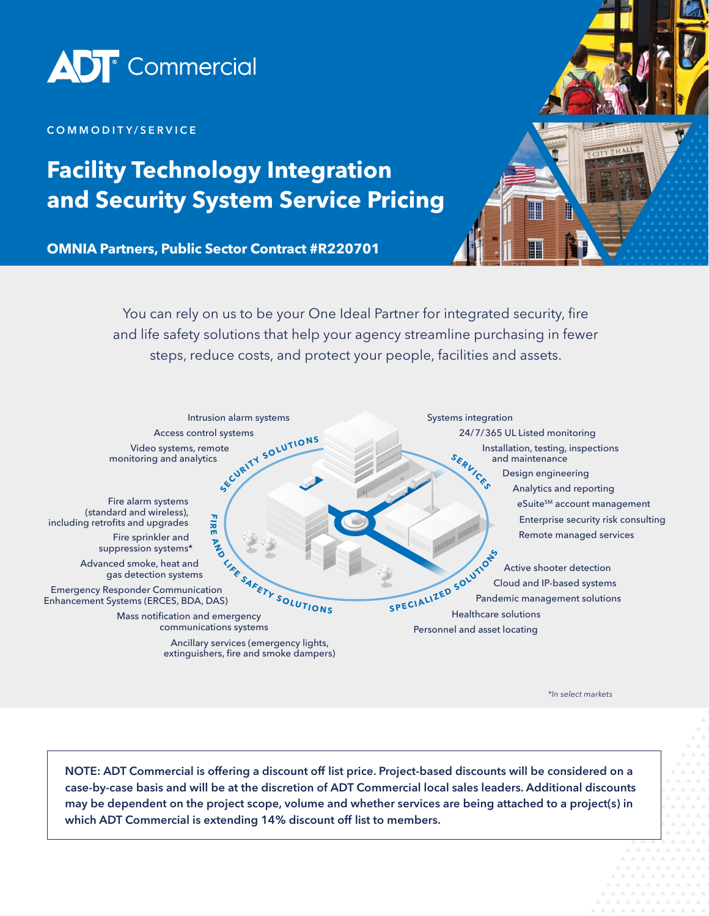

#### COMMODITY/SERVICE

# **Facility Technology Integration and Security System Service Pricing**

**OMNIA Partners, Public Sector Contract #R220701**



You can rely on us to be your One Ideal Partner for integrated security, fire and life safety solutions that help your agency streamline purchasing in fewer steps, reduce costs, and protect your people, facilities and assets.



*\*In select markets*

NOTE: ADT Commercial is offering a discount off list price. Project-based discounts will be considered on a case-by-case basis and will be at the discretion of ADT Commercial local sales leaders. Additional discounts may be dependent on the project scope, volume and whether services are being attached to a project(s) in which ADT Commercial is extending 14% discount off list to members.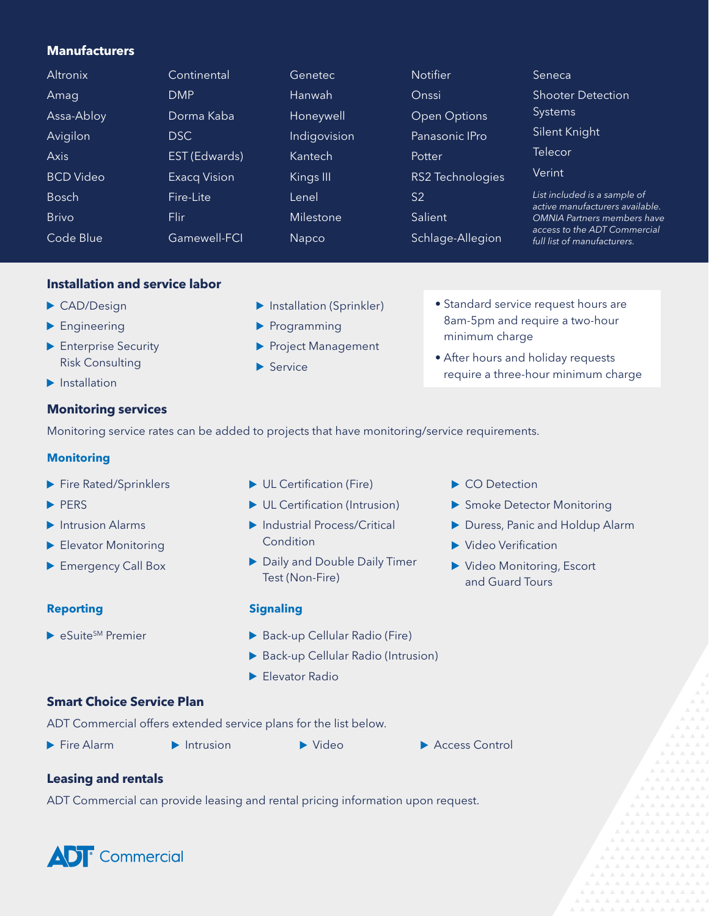# **Manufacturers**

| Altronix         | Continental         | Genetec       | <b>Notifier</b>         | Seneca                                                                                            |
|------------------|---------------------|---------------|-------------------------|---------------------------------------------------------------------------------------------------|
| Amag             | <b>DMP</b>          | <b>Hanwah</b> | Onssi                   | <b>Shooter Detection</b>                                                                          |
| Assa-Abloy       | Dorma Kaba          | Honeywell     | <b>Open Options</b>     | <b>Systems</b>                                                                                    |
| Avigilon         | DSC.                | Indigovision  | Panasonic IPro          | Silent Knight                                                                                     |
| <b>Axis</b>      | EST (Edwards)       | Kantech       | Potter                  | Telecor                                                                                           |
| <b>BCD</b> Video | <b>Exacq Vision</b> | Kings III     | <b>RS2 Technologies</b> | Verint                                                                                            |
| <b>Bosch</b>     | Fire-Lite           | Lenel         | S <sub>2</sub>          | List included is a sample of<br>active manufacturers available.                                   |
| <b>Brivo</b>     | Flir                | Milestone     | Salient                 | <b>OMNIA Partners members have</b><br>access to the ADT Commercial<br>full list of manufacturers. |
| Code Blue        | Gamewell-FCI        | <b>Napco</b>  | Schlage-Allegion        |                                                                                                   |

### **Installation and service labor**

- ▶ CAD/Design
- **Engineering**
- **Enterprise Security** Risk Consulting
- $\blacktriangleright$  Installation

### **Monitoring services**

Monitoring service rates can be added to projects that have monitoring/service requirements.

 $\blacktriangleright$  Service

#### **Monitoring**

- Fire Rated/Sprinklers
- PERS
- $\blacktriangleright$  Intrusion Alarms
- Elevator Monitoring
- **Emergency Call Box**

#### **Reporting**

 $\blacktriangleright$  eSuite<sup>SM</sup> Premier

- ▶ UL Certification (Fire)
- ▶ UL Certification (Intrusion)

**Installation (Sprinkler)** 

Project Management

Programming

- ▶ Industrial Process/Critical **Condition**
- ▶ Daily and Double Daily Timer Test (Non-Fire)

#### **Signaling**

- Back-up Cellular Radio (Fire)
- Back-up Cellular Radio (Intrusion)
- Elevator Radio

CO Detection

minimum charge

▶ Smoke Detector Monitoring

• Standard service request hours are 8am-5pm and require a two-hour

• After hours and holiday requests

require a three-hour minimum charge

- Duress, Panic and Holdup Alarm
- ▶ Video Verification
- Video Monitoring, Escort and Guard Tours

**Smart Choice Service Plan**

ADT Commercial offers extended service plans for the list below.

- 
- 
- 
- **▶ Fire Alarm Access Control Intrusion** Access Control

#### **Leasing and rentals**

ADT Commercial can provide leasing and rental pricing information upon request.

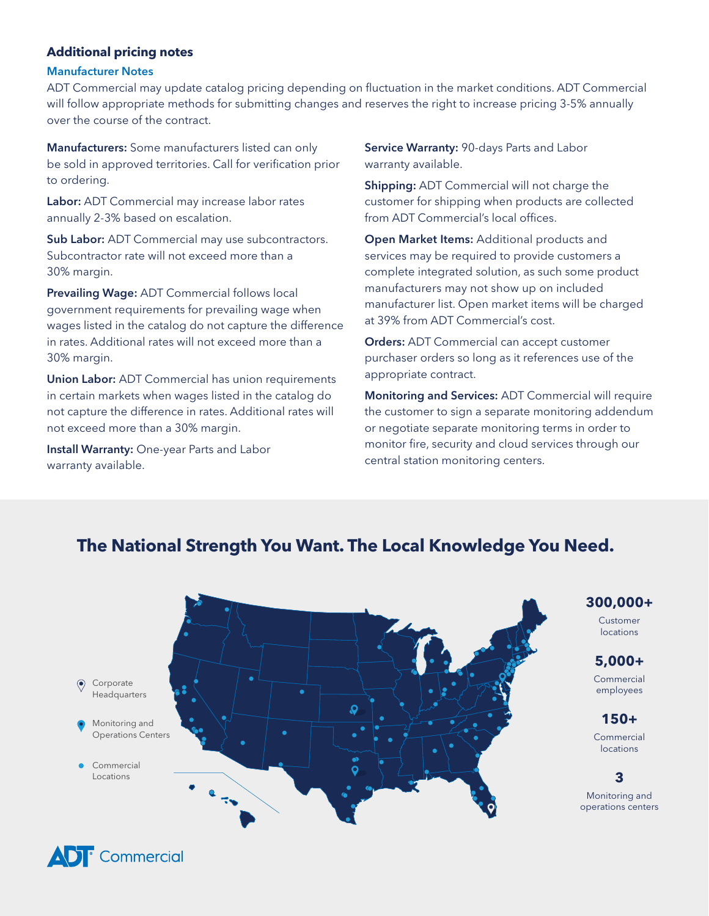# **Additional pricing notes**

#### Manufacturer Notes

ADT Commercial may update catalog pricing depending on fluctuation in the market conditions. ADT Commercial will follow appropriate methods for submitting changes and reserves the right to increase pricing 3-5% annually over the course of the contract.

Manufacturers: Some manufacturers listed can only be sold in approved territories. Call for verification prior to ordering.

Labor: ADT Commercial may increase labor rates annually 2-3% based on escalation.

Sub Labor: ADT Commercial may use subcontractors. Subcontractor rate will not exceed more than a 30% margin.

Prevailing Wage: ADT Commercial follows local government requirements for prevailing wage when wages listed in the catalog do not capture the difference in rates. Additional rates will not exceed more than a 30% margin.

Union Labor: ADT Commercial has union requirements in certain markets when wages listed in the catalog do not capture the difference in rates. Additional rates will not exceed more than a 30% margin.

**Install Warranty:** One-year Parts and Labor warranty available.

Service Warranty: 90-days Parts and Labor warranty available.

Shipping: ADT Commercial will not charge the customer for shipping when products are collected from ADT Commercial's local offices.

Open Market Items: Additional products and services may be required to provide customers a complete integrated solution, as such some product manufacturers may not show up on included manufacturer list. Open market items will be charged at 39% from ADT Commercial's cost.

Orders: ADT Commercial can accept customer purchaser orders so long as it references use of the appropriate contract.

Monitoring and Services: ADT Commercial will require the customer to sign a separate monitoring addendum or negotiate separate monitoring terms in order to monitor fire, security and cloud services through our central station monitoring centers.



# **The National Strength You Want. The Local Knowledge You Need.**

**300,000+**

Customer locations

# **5,000+**

Commercial employees

# **150+**

Monitoring and Commercial *Centers locations* 

**3**

Monitoring and operations centers

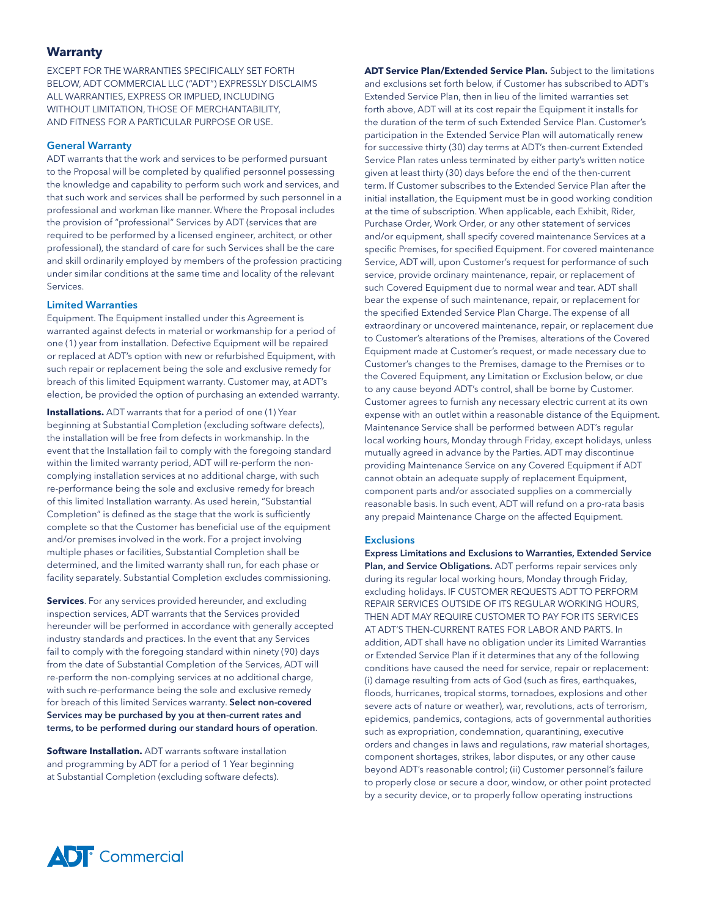#### **Warranty**

EXCEPT FOR THE WARRANTIES SPECIFICALLY SET FORTH BELOW, ADT COMMERCIAL LLC ("ADT") EXPRESSLY DISCLAIMS ALL WARRANTIES, EXPRESS OR IMPLIED, INCLUDING WITHOUT LIMITATION, THOSE OF MERCHANTABILITY, AND FITNESS FOR A PARTICULAR PURPOSE OR USE.

#### General Warranty

ADT warrants that the work and services to be performed pursuant to the Proposal will be completed by qualified personnel possessing the knowledge and capability to perform such work and services, and that such work and services shall be performed by such personnel in a professional and workman like manner. Where the Proposal includes the provision of "professional" Services by ADT (services that are required to be performed by a licensed engineer, architect, or other professional), the standard of care for such Services shall be the care and skill ordinarily employed by members of the profession practicing under similar conditions at the same time and locality of the relevant Services.

#### Limited Warranties

Equipment. The Equipment installed under this Agreement is warranted against defects in material or workmanship for a period of one (1) year from installation. Defective Equipment will be repaired or replaced at ADT's option with new or refurbished Equipment, with such repair or replacement being the sole and exclusive remedy for breach of this limited Equipment warranty. Customer may, at ADT's election, be provided the option of purchasing an extended warranty.

**Installations.** ADT warrants that for a period of one (1) Year beginning at Substantial Completion (excluding software defects), the installation will be free from defects in workmanship. In the event that the Installation fail to comply with the foregoing standard within the limited warranty period, ADT will re-perform the noncomplying installation services at no additional charge, with such re-performance being the sole and exclusive remedy for breach of this limited Installation warranty. As used herein, "Substantial Completion" is defined as the stage that the work is sufficiently complete so that the Customer has beneficial use of the equipment and/or premises involved in the work. For a project involving multiple phases or facilities, Substantial Completion shall be determined, and the limited warranty shall run, for each phase or facility separately. Substantial Completion excludes commissioning.

**Services**. For any services provided hereunder, and excluding inspection services, ADT warrants that the Services provided hereunder will be performed in accordance with generally accepted industry standards and practices. In the event that any Services fail to comply with the foregoing standard within ninety (90) days from the date of Substantial Completion of the Services, ADT will re-perform the non-complying services at no additional charge, with such re-performance being the sole and exclusive remedy for breach of this limited Services warranty. Select non-covered Services may be purchased by you at then-current rates and terms, to be performed during our standard hours of operation.

**Software Installation.** ADT warrants software installation and programming by ADT for a period of 1 Year beginning at Substantial Completion (excluding software defects).

**ADT Service Plan/Extended Service Plan.** Subject to the limitations and exclusions set forth below, if Customer has subscribed to ADT's Extended Service Plan, then in lieu of the limited warranties set forth above, ADT will at its cost repair the Equipment it installs for the duration of the term of such Extended Service Plan. Customer's participation in the Extended Service Plan will automatically renew for successive thirty (30) day terms at ADT's then-current Extended Service Plan rates unless terminated by either party's written notice given at least thirty (30) days before the end of the then-current term. If Customer subscribes to the Extended Service Plan after the initial installation, the Equipment must be in good working condition at the time of subscription. When applicable, each Exhibit, Rider, Purchase Order, Work Order, or any other statement of services and/or equipment, shall specify covered maintenance Services at a specific Premises, for specified Equipment. For covered maintenance Service, ADT will, upon Customer's request for performance of such service, provide ordinary maintenance, repair, or replacement of such Covered Equipment due to normal wear and tear. ADT shall bear the expense of such maintenance, repair, or replacement for the specified Extended Service Plan Charge. The expense of all extraordinary or uncovered maintenance, repair, or replacement due to Customer's alterations of the Premises, alterations of the Covered Equipment made at Customer's request, or made necessary due to Customer's changes to the Premises, damage to the Premises or to the Covered Equipment, any Limitation or Exclusion below, or due to any cause beyond ADT's control, shall be borne by Customer. Customer agrees to furnish any necessary electric current at its own expense with an outlet within a reasonable distance of the Equipment. Maintenance Service shall be performed between ADT's regular local working hours, Monday through Friday, except holidays, unless mutually agreed in advance by the Parties. ADT may discontinue providing Maintenance Service on any Covered Equipment if ADT cannot obtain an adequate supply of replacement Equipment, component parts and/or associated supplies on a commercially reasonable basis. In such event, ADT will refund on a pro-rata basis any prepaid Maintenance Charge on the affected Equipment.

#### **Exclusions**

Express Limitations and Exclusions to Warranties, Extended Service Plan, and Service Obligations. ADT performs repair services only during its regular local working hours, Monday through Friday, excluding holidays. IF CUSTOMER REQUESTS ADT TO PERFORM REPAIR SERVICES OUTSIDE OF ITS REGULAR WORKING HOURS, THEN ADT MAY REQUIRE CUSTOMER TO PAY FOR ITS SERVICES AT ADT'S THEN-CURRENT RATES FOR LABOR AND PARTS. In addition, ADT shall have no obligation under its Limited Warranties or Extended Service Plan if it determines that any of the following conditions have caused the need for service, repair or replacement: (i) damage resulting from acts of God (such as fires, earthquakes, floods, hurricanes, tropical storms, tornadoes, explosions and other severe acts of nature or weather), war, revolutions, acts of terrorism, epidemics, pandemics, contagions, acts of governmental authorities such as expropriation, condemnation, quarantining, executive orders and changes in laws and regulations, raw material shortages, component shortages, strikes, labor disputes, or any other cause beyond ADT's reasonable control; (ii) Customer personnel's failure to properly close or secure a door, window, or other point protected by a security device, or to properly follow operating instructions